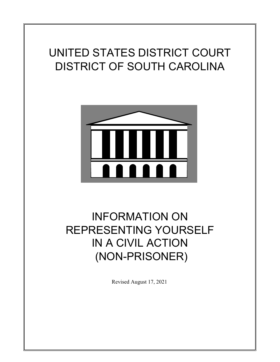# UNITED STATES DISTRICT COURT DISTRICT OF SOUTH CAROLINA



# INFORMATION ON REPRESENTING YOURSELF IN A CIVIL ACTION (NON-PRISONER)

Revised August 17, 2021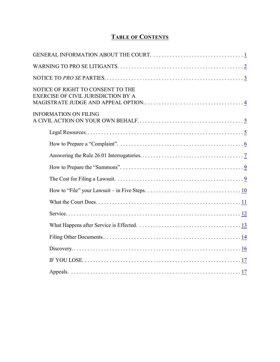# **TABLE OF CONTENTS**

| NOTICE OF RIGHT TO CONSENT TO THE<br><b>EXERCISE OF CIVIL JURISDICTION BY A</b> |
|---------------------------------------------------------------------------------|
| <b>INFORMATION ON FILING</b>                                                    |
|                                                                                 |
|                                                                                 |
|                                                                                 |
|                                                                                 |
|                                                                                 |
|                                                                                 |
|                                                                                 |
|                                                                                 |
|                                                                                 |
|                                                                                 |
|                                                                                 |
|                                                                                 |
|                                                                                 |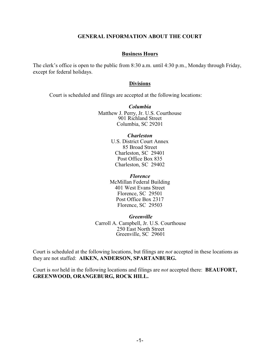#### <span id="page-2-0"></span>**GENERAL INFORMATION ABOUT THE COURT**

#### **Business Hours**

The clerk's office is open to the public from 8:30 a.m. until 4:30 p.m., Monday through Friday, except for federal holidays.

#### **Divisions**

Court is scheduled and filings are accepted at the following locations:

*Columbia* Matthew J. Perry, Jr. U.S. Courthouse 901 Richland Street Columbia, SC 29201

#### *Charleston*

U.S. District Court Annex 85 Broad Street Charleston, SC 29401 Post Office Box 835 Charleston, SC 29402

*Florence* McMillan Federal Building 401 West Evans Street Florence, SC 29501 Post Office Box 2317 Florence, SC 29503

*Greenville* Carroll A. Campbell, Jr. U.S. Courthouse 250 East North Street Greenville, SC 29601

Court is scheduled at the following locations, but filings are *not* accepted in these locations as they are not staffed: **AIKEN, ANDERSON, SPARTANBURG.**

Court is *not* held in the following locations and filings are *not* accepted there: **BEAUFORT, GREENWOOD, ORANGEBURG, ROCK HILL.**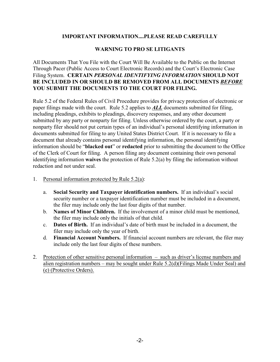# **IMPORTANT INFORMATION....PLEASE READ CAREFULLY**

# <span id="page-3-0"></span>**WARNING TO PRO SE LITIGANTS**

All Documents That You File with the Court Will Be Available to the Public on the Internet Through Pacer (Public Access to Court Electronic Records) and the Court's Electronic Case Filing System. **CERTAIN** *PERSONAL IDENTIFYING INFORMATION* **SHOULD NOT BE INCLUDED IN OR SHOULD BE REMOVED FROM ALL DOCUMENTS** *BEFORE* **YOU SUBMIT THE DOCUMENTS TO THE COURT FOR FILING.**

Rule 5.2 of the Federal Rules of Civil Procedure provides for privacy protection of electronic or paper filings made with the court. Rule 5.2 applies to *ALL* documents submitted for filing, including pleadings, exhibits to pleadings, discovery responses, and any other document submitted by any party or nonparty for filing. Unless otherwise ordered by the court, a party or nonparty filer should not put certain types of an individual's personal identifying information in documents submitted for filing to any United States District Court. If it is necessary to file a document that already contains personal identifying information, the personal identifying information should be "**blacked out**" or **redacted** prior to submitting the document to the Office of the Clerk of Court for filing. A person filing any document containing their own personal identifying information **waives** the protection of Rule 5.2(a) by filing the information without redaction and not under seal.

- 1. Personal information protected by Rule 5.2(a):
	- a. **Social Security and Taxpayer identification numbers.** If an individual's social security number or a taxpayer identification number must be included in a document, the filer may include only the last four digits of that number.
	- b. **Names of Minor Children.** If the involvement of a minor child must be mentioned, the filer may include only the initials of that child.
	- c. **Dates of Birth.** If an individual's date of birth must be included in a document, the filer may include only the year of birth.
	- d. **Financial Account Numbers.** If financial account numbers are relevant, the filer may include only the last four digits of these numbers.
- 2. Protection of other sensitive personal information such as driver's license numbers and alien registration numbers – may be sought under Rule 5.2(d)(Filings Made Under Seal) and (e) (Protective Orders).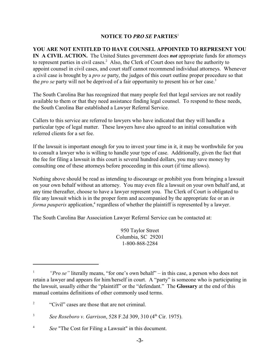## <span id="page-4-0"></span>**NOTICE TO** *PRO SE* **PARTIES**<sup>1</sup>

**YOU ARE NOT ENTITLED TO HAVE COUNSEL APPOINTED TO REPRESENT YOU IN A CIVIL ACTION.** The United States government does *not* appropriate funds for attorneys to represent parties in civil cases.<sup>2</sup> Also, the Clerk of Court does not have the authority to appoint counsel in civil cases, and court staff cannot recommend individual attorneys. Whenever a civil case is brought by a *pro se* party, the judges of this court outline proper procedure so that the *pro se* party will not be deprived of a fair opportunity to present his or her case.<sup>3</sup>

The South Carolina Bar has recognized that many people feel that legal services are not readily available to them or that they need assistance finding legal counsel. To respond to these needs, the South Carolina Bar established a Lawyer Referral Service.

Callers to this service are referred to lawyers who have indicated that they will handle a particular type of legal matter. These lawyers have also agreed to an initial consultation with referred clients for a set fee.

If the lawsuit is important enough for you to invest your time in it, it may be worthwhile for you to consult a lawyer who is willing to handle your type of case. Additionally, given the fact that the fee for filing a lawsuit in this court is several hundred dollars, you may save money by consulting one of these attorneys before proceeding in this court (if time allows).

Nothing above should be read as intending to discourage or prohibit you from bringing a lawsuit on your own behalf without an attorney. You may even file a lawsuit on your own behalf and, at any time thereafter, choose to have a lawyer represent you. The Clerk of Court is obligated to file any lawsuit which is in the proper form and accompanied by the appropriate fee or an *in forma pauperis* application,<sup>4</sup> regardless of whether the plaintiff is represented by a lawyer.

The South Carolina Bar Association Lawyer Referral Service can be contacted at:

950 Taylor Street Columbia, SC 29201 1-800-868-2284

*<sup>&</sup>quot;Pro se"* literally means, "for one's own behalf" – in this case, a person who does not retain a lawyer and appears for him/herself in court. A "party" is someone who is participating in the lawsuit, usually either the "plaintiff" or the "defendant." The **Glossary** at the end of this manual contains definitions of other commonly used terms.

<sup>&</sup>lt;sup>2</sup> "Civil" cases are those that are not criminal.

<sup>&</sup>lt;sup>3</sup> *See Roseboro v. Garrison*, 528 F.2d 309, 310 (4<sup>th</sup> Cir. 1975).

*See* "The Cost for Filing a Lawsuit" in this document. <sup>4</sup>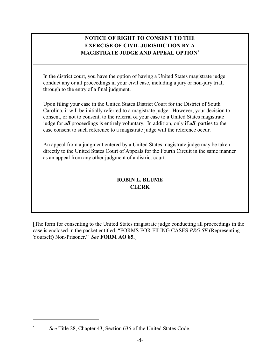# <span id="page-5-0"></span>**NOTICE OF RIGHT TO CONSENT TO THE EXERCISE OF CIVIL JURISDICTION BY A MAGISTRATE JUDGE AND APPEAL OPTION**<sup>5</sup>

In the district court, you have the option of having a United States magistrate judge conduct any or all proceedings in your civil case, including a jury or non-jury trial, through to the entry of a final judgment.

Upon filing your case in the United States District Court for the District of South Carolina, it will be initially referred to a magistrate judge. However, your decision to consent, or not to consent, to the referral of your case to a United States magistrate judge for *all* proceedings is entirely voluntary. In addition, only if *all* parties to the case consent to such reference to a magistrate judge will the reference occur.

An appeal from a judgment entered by a United States magistrate judge may be taken directly to the United States Court of Appeals for the Fourth Circuit in the same manner as an appeal from any other judgment of a district court.

# **ROBIN L. BLUME CLERK**

[The form for consenting to the United States magistrate judge conducting all proceedings in the case is enclosed in the packet entitled, "FORMS FOR FILING CASES *PRO SE* (Representing Yourself) Non-Prisoner." *See* **FORM AO 85.**]

<sup>&</sup>lt;sup>5</sup> See Title 28, Chapter 43, Section 636 of the United States Code.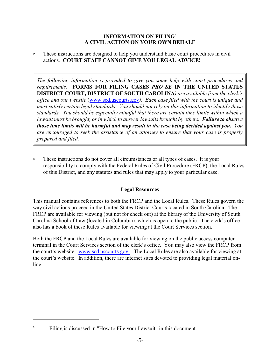#### **INFORMATION ON FILING<sup>6</sup> A CIVIL ACTION ON YOUR OWN BEHALF**

<span id="page-6-0"></span> $\blacktriangleright$  These instructions are designed to help you understand basic court procedures in civil actions. **COURT STAFF CANNOT GIVE YOU LEGAL ADVICE!**

*The following information is provided to give you some help with court procedures and requirements.* **FORMS FOR FILING CASES** *PRO SE* **IN THE UNITED STATES DISTRICT COURT, DISTRICT OF SOUTH CAROLINA***) are available from the clerk's office and our website* (www.scd.uscourts.gov*). Each case filed with the court is unique and must satisfy certain legal standards. You should not rely on this information to identify those standards. You should be especially mindful that there are certain time limits within which a lawsuit must be brought, or in which to answer lawsuits brought by others. Failure to observe those time limits will be harmful and may result in the case being decided against you. You are encouraged to seek the assistance of an attorney to ensure that your case is properly prepared and filed.*

< These instructions do not cover all circumstances or all types of cases. It is your responsibility to comply with the Federal Rules of Civil Procedure (FRCP), the Local Rules of this District, and any statutes and rules that may apply to your particular case.

# <span id="page-6-1"></span>**Legal Resources**

This manual contains references to both the FRCP and the Local Rules. These Rules govern the way civil actions proceed in the United States District Courts located in South Carolina. The FRCP are available for viewing (but not for check out) at the library of the University of South Carolina School of Law (located in Columbia), which is open to the public. The clerk's office also has a book of these Rules available for viewing at the Court Services section.

Both the FRCP and the Local Rules are available for viewing on the public access computer terminal in the Court Services section of the clerk's office. You may also view the FRCP from the court's website: [www.scd.uscourts.gov.](http://www.scd.uscourts.gov) The Local Rules are also available for viewing at the court's website. In addition, there are internet sites devoted to providing legal material online.

<sup>&</sup>lt;sup>6</sup> Filing is discussed in "How to File your Lawsuit" in this document.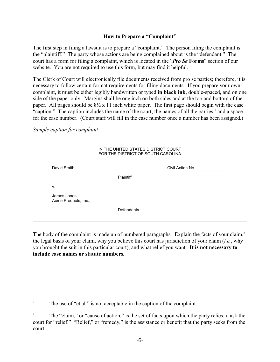# <span id="page-7-0"></span>**How to Prepare a "Complaint"**

The first step in filing a lawsuit is to prepare a "complaint." The person filing the complaint is the "plaintiff." The party whose actions are being complained about is the "defendant." The court has a form for filing a complaint, which is located in the "*Pro Se* **Forms**" section of our website. You are not required to use this form, but may find it helpful.

The Clerk of Court will electronically file documents received from pro se parties; therefore, it is necessary to follow certain format requirements for filing documents. If you prepare your own complaint, it must be either legibly handwritten or typed **in black ink**, double-spaced, and on one side of the paper only. Margins shall be one inch on both sides and at the top and bottom of the paper. All pages should be 8½ x 11 inch white paper. The first page should begin with the case "caption." The caption includes the name of the court, the names of all the parties, $\alpha$  and a space for the case number. (Court staff will fill in the case number once a number has been assigned.)

*Sample caption for complaint:*

|                                      | IN THE UNITED STATES DISTRICT COURT<br>FOR THE DISTRICT OF SOUTH CAROLINA |
|--------------------------------------|---------------------------------------------------------------------------|
| David Smith,                         | Civil Action No.                                                          |
|                                      | Plaintiff,                                                                |
| v.                                   |                                                                           |
| James Jones;<br>Acme Products, Inc., |                                                                           |
|                                      | Defendants.                                                               |

The body of the complaint is made up of numbered paragraphs. Explain the facts of your claim,<sup>8</sup> the legal basis of your claim, why you believe this court has jurisdiction of your claim (*i.e.*, why you brought the suit in this particular court), and what relief you want. **It is not necessary to include case names or statute numbers.** 

 $^7$  The use of "et al." is not acceptable in the caption of the complaint.

The "claim," or "cause of action," is the set of facts upon which the party relies to ask the court for "relief." "Relief," or "remedy," is the assistance or benefit that the party seeks from the court.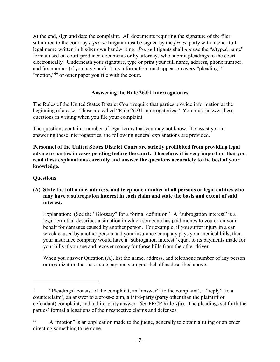At the end, sign and date the complaint. All documents requiring the signature of the filer submitted to the court by *a pro se* litigant must be signed by the *pro se* party with his/her full legal name written in his/her own handwriting. *Pro se* litigants shall *not* use the "s/typed name" format used on court-produced documents or by attorneys who submit pleadings to the court electronically. Underneath your signature, type or print your full name, address, phone number, and fax number (if you have one). This information must appear on every "pleading,"<sup>9</sup> "motion,"<sup> $10$ </sup> or other paper you file with the court.

# <span id="page-8-0"></span>**Answering the Rule 26.01 Interrogatories**

The Rules of the United States District Court require that parties provide information at the beginning of a case. These are called "Rule 26.01 Interrogatories." You must answer these questions in writing when you file your complaint.

The questions contain a number of legal terms that you may not know. To assist you in answering these interrogatories, the following general explanations are provided.

**Personnel of the United States District Court are strictly prohibited from providing legal advice to parties in cases pending before the court. Therefore, it is very important that you read these explanations carefully and answer the questions accurately to the best of your knowledge.**

# **Questions**

# **(A) State the full name, address, and telephone number of all persons or legal entities who may have a subrogation interest in each claim and state the basis and extent of said interest.**

Explanation: (See the "Glossary" for a formal definition.) A "subrogation interest" is a legal term that describes a situation in which someone has paid money to you or on your behalf for damages caused by another person. For example, if you suffer injury in a car wreck caused by another person and your insurance company pays your medical bills, then your insurance company would have a "subrogation interest" equal to its payments made for your bills if you sue and recover money for those bills from the other driver.

When you answer Question (A), list the name, address, and telephone number of any person or organization that has made payments on your behalf as described above.

<sup>&</sup>lt;sup>9</sup> "Pleadings" consist of the complaint, an "answer" (to the complaint), a "reply" (to a counterclaim), an answer to a cross-claim, a third-party (party other than the plaintiff or defendant) complaint, and a third-party answer. *See* FRCP Rule 7(a). The pleadings set forth the parties' formal allegations of their respective claims and defenses.

 $A$  "motion" is an application made to the judge, generally to obtain a ruling or an order directing something to be done.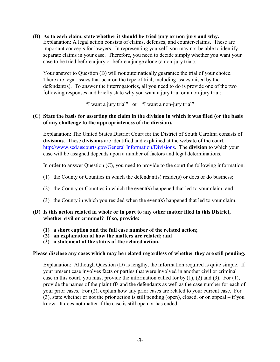#### **(B) As to each claim, state whether it should be tried jury or non jury and why.**

Explanation: A legal action consists of claims, defenses, and counter-claims. These are important concepts for lawyers. In representing yourself, you may not be able to identify separate claims in your case. Therefore, you need to decide simply whether you want your case to be tried before a jury or before a judge alone (a non-jury trial).

Your answer to Question (B) will **not** automatically guarantee the trial of your choice. There are legal issues that bear on the type of trial, including issues raised by the defendant(s). To answer the interrogatories, all you need to do is provide one of the two following responses and briefly state why you want a jury trial or a non-jury trial:

"I want a jury trial" **or** "I want a non-jury trial"

#### **(C) State the basis for asserting the claim in the division in which it was filed (or the basis of any challenge to the appropriateness of the division).**

Explanation: The United States District Court for the District of South Carolina consists of **divisions**. These **divisions** are identified and explained at the website of the court, [http://www.scd.uscourts.gov/General Information/Divisions](<http://www.scd.uscourts.gov/Resources/division.asp>). The **division** to which your case will be assigned depends upon a number of factors and legal determinations.

In order to answer Question (C), you need to provide to the court the following information:

- (1) the County or Counties in which the defendant(s) reside(s) or does or do business;
- (2) the County or Counties in which the event(s) happened that led to your claim; and
- (3) the County in which you resided when the event(s) happened that led to your claim.

#### **(D) Is this action related in whole or in part to any other matter filed in this District, whether civil or criminal? If so, provide:**

- **(1) a short caption and the full case number of the related action;**
- **(2) an explanation of how the matters are related; and**
- **(3) a statement of the status of the related action.**

#### **Please disclose any cases which may be related regardless of whether they are still pending.**

Explanation: Although Question (D) is lengthy, the information required is quite simple. If your present case involves facts or parties that were involved in another civil or criminal case in this court, you must provide the information called for by  $(1)$ ,  $(2)$  and  $(3)$ . For  $(1)$ , provide the names of the plaintiffs and the defendants as well as the case number for each of your prior cases. For (2), explain how any prior cases are related to your current case. For (3), state whether or not the prior action is still pending (open), closed, or on appeal – if you know. It does not matter if the case is still open or has ended.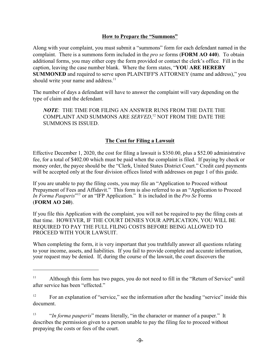### <span id="page-10-0"></span>**How to Prepare the "Summons"**

Along with your complaint, you must submit a "summons" form for each defendant named in the complaint. There is a summons form included in the *pro se* forms (**FORM AO 440**). To obtain additional forms, you may either copy the form provided or contact the clerk's office. Fill in the caption, leaving the case number blank. Where the form states, "**YOU ARE HEREBY SUMMONED** and required to serve upon PLAINTIFF'S ATTORNEY (name and address)," you should write your name and address.<sup>11</sup>

The number of days a defendant will have to answer the complaint will vary depending on the type of claim and the defendant.

*NOTE*: THE TIME FOR FILING AN ANSWER RUNS FROM THE DATE THE COMPLAINT AND SUMMONS ARE *SERVED*,<sup>12</sup> NOT FROM THE DATE THE SUMMONS IS ISSUED.

# <span id="page-10-1"></span>**The Cost for Filing a Lawsuit**

Effective December 1, 2020, the cost for filing a lawsuit is \$350.00, plus a \$52.00 administrative fee, for a total of \$402.00 which must be paid when the complaint is filed. If paying by check or money order, the payee should be the "Clerk, United States District Court." Credit card payments will be accepted only at the four division offices listed with addresses on page 1 of this guide.

If you are unable to pay the filing costs, you may file an "Application to Proceed without Prepayment of Fees and Affidavit." This form is also referred to as an "Application to Proceed *In Forma Pauperis*" <sup>13</sup> or an "IFP Application." It is included in the *Pro Se* Forms (**FORM AO 240**).

If you file this Application with the complaint, you will not be required to pay the filing costs at that time. HOWEVER, IF THE COURT DENIES YOUR APPLICATION, YOU WILL BE REQUIRED TO PAY THE FULL FILING COSTS BEFORE BEING ALLOWED TO PROCEED WITH YOUR LAWSUIT.

When completing the form, it is very important that you truthfully answer all questions relating to your income, assets, and liabilities. If you fail to provide complete and accurate information, your request may be denied. If, during the course of the lawsuit, the court discovers the

<sup>&</sup>lt;sup>11</sup> Although this form has two pages, you do not need to fill in the "Return of Service" until after service has been "effected."

 $\frac{12}{2}$  For an explanation of "service," see the information after the heading "service" inside this document.

<sup>&</sup>lt;sup>13</sup> *In forma pauperis*" means literally, "in the character or manner of a pauper." It describes the permission given to a person unable to pay the filing fee to proceed without prepaying the costs or fees of the court.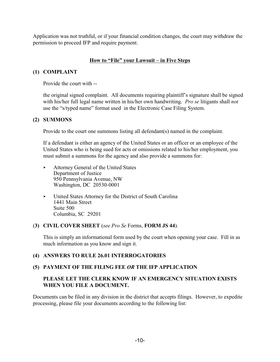Application was not truthful, or if your financial condition changes, the court may withdraw the permission to proceed IFP and require payment.

# <span id="page-11-0"></span>**How to "File" your Lawsuit – in Five Steps**

## **(1) COMPLAINT**

Provide the court with --

the original signed complaint. All documents requiring plaintiff's signature shall be signed with his/her full legal name written in his/her own handwriting. *Pro se* litigants shall *not* use the "s/typed name" format used in the Electronic Case Filing System.

## **(2) SUMMONS**

Provide to the court one summons listing all defendant(s) named in the complaint.

If a defendant is either an agency of the United States or an officer or an employee of the United States who is being sued for acts or omissions related to his/her employment, you must submit a summons for the agency and also provide a summons for:

- < Attorney General of the United States Department of Justice 950 Pennsylvania Avenue, NW Washington, DC 20530-0001
- < United States Attorney for the District of South Carolina 1441 Main Street Suite 500 Columbia, SC 29201

## (**3) CIVIL COVER SHEET** (*see Pro Se* Forms, **FORM JS 44**).

This is simply an informational form used by the court when opening your case. Fill in as much information as you know and sign it.

## **(4) ANSWERS TO RULE 26.01 INTERROGATORIES**

## **(5) PAYMENT OF THE FILING FEE** *OR* **THE IFP APPLICATION**

# **PLEASE LET THE CLERK KNOW IF AN EMERGENCY SITUATION EXISTS WHEN YOU FILE A DOCUMENT.**

Documents can be filed in any division in the district that accepts filings. However, to expedite processing, please file your documents according to the following list: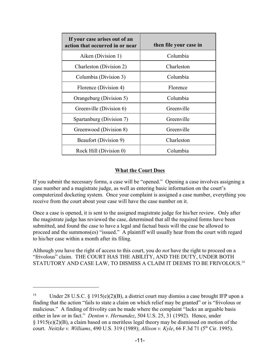| If your case arises out of an<br>action that occurred in or near | then file your case in |
|------------------------------------------------------------------|------------------------|
| Aiken (Division 1)                                               | Columbia               |
| Charleston (Division 2)                                          | Charleston             |
| Columbia (Division 3)                                            | Columbia               |
| Florence (Division 4)                                            | Florence               |
| Orangeburg (Division 5)                                          | Columbia               |
| Greenville (Division 6)                                          | Greenville             |
| Spartanburg (Division 7)                                         | Greenville             |
| Greenwood (Division 8)                                           | Greenville             |
| Beaufort (Division 9)                                            | Charleston             |
| Rock Hill (Division 0)                                           | Columbia               |

## <span id="page-12-0"></span>**What the Court Does**

If you submit the necessary forms, a case will be "opened." Opening a case involves assigning a case number and a magistrate judge, as well as entering basic information on the court's computerized docketing system. Once your complaint is assigned a case number, everything you receive from the court about your case will have the case number on it.

Once a case is opened, it is sent to the assigned magistrate judge for his/her review. Only after the magistrate judge has reviewed the case, determined that all the required forms have been submitted, and found the case to have a legal and factual basis will the case be allowed to proceed and the summons(es) "issued." A plaintiff will usually hear from the court with regard to his/her case within a month after its filing.

Although you have the right of access to this court, you do *not* have the right to proceed on a "frivolous" claim. THE COURT HAS THE ABILITY, AND THE DUTY, UNDER BOTH STATUTORY AND CASE LAW, TO DISMISS A CLAIM IT DEEMS TO BE FRIVOLOUS.<sup>14</sup>

<sup>&</sup>lt;sup>14</sup> Under 28 U.S.C. § 1915(e)(2)(B), a district court may dismiss a case brought IFP upon a finding that the action "fails to state a claim on which relief may be granted" or is "frivolous or malicious." A finding of frivolity can be made where the complaint "lacks an arguable basis either in law or in fact." *Denton v. Hernandez*, 504 U.S. 25, 31 (1992). Hence, under § 1915(e)(2)(B), a claim based on a meritless legal theory may be dismissed on motion of the court. *Neitzke v. Williams*, 490 U.S. 319 (1989); *Allison v. Kyle*, 66 F.3d 71 (5<sup>th</sup> Cir. 1995).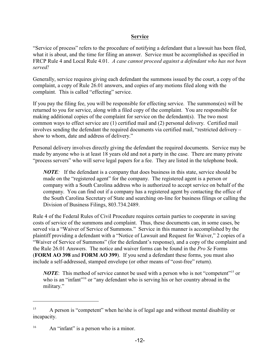## <span id="page-13-0"></span>**Service**

"Service of process" refers to the procedure of notifying a defendant that a lawsuit has been filed, what it is about, and the time for filing an answer. Service must be accomplished as specified in FRCP Rule 4 and Local Rule 4.01. *A case cannot proceed against a defendant who has not been served!*

Generally, service requires giving each defendant the summons issued by the court, a copy of the complaint, a copy of Rule 26.01 answers, and copies of any motions filed along with the complaint. This is called "effecting" service.

If you pay the filing fee, you will be responsible for effecting service. The summons(es) will be returned to you for service, along with a filed copy of the complaint. You are responsible for making additional copies of the complaint for service on the defendant(s). The two most common ways to effect service are (1) certified mail and (2) personal delivery. Certified mail involves sending the defendant the required documents via certified mail, "restricted delivery – show to whom, date and address of delivery."

Personal delivery involves directly giving the defendant the required documents. Service may be made by anyone who is at least 18 years old and not a party in the case. There are many private "process servers" who will serve legal papers for a fee. They are listed in the telephone book.

*NOTE*: If the defendant is a company that does business in this state, service should be made on the "registered agent" for the company. The registered agent is a person or company with a South Carolina address who is authorized to accept service on behalf of the company. You can find out if a company has a registered agent by contacting the office of the South Carolina Secretary of State and searching on-line for business filings or calling the Division of Business Filings, 803.734.2489.

Rule 4 of the Federal Rules of Civil Procedure requires certain parties to cooperate in saving costs of service of the summons and complaint. Thus, these documents can, in some cases, be served via a "Waiver of Service of Summons." Service in this manner is accomplished by the plaintiff providing a defendant with a "Notice of Lawsuit and Request for Waiver," 2 copies of a "Waiver of Service of Summons" (for the defendant's response), and a copy of the complaint and the Rule 26.01 Answers. The notice and waiver forms can be found in the *Pro Se* Forms (**FORM AO 398** and **FORM AO 399**). If you send a defendant these forms, you must also include a self-addressed, stamped envelope (or other means of "cost-free" return).

*NOTE*: This method of service cannot be used with a person who is not "competent"<sup>15</sup> or who is an "infant"<sup>16</sup> or "any defendant who is serving his or her country abroad in the military."

 $A$  person is "competent" when he/she is of legal age and without mental disability or incapacity.

 $16$  An "infant" is a person who is a minor.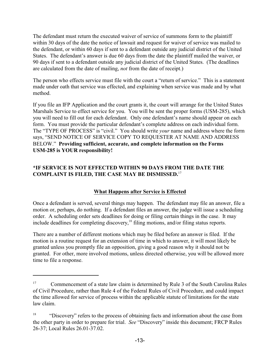The defendant must return the executed waiver of service of summons form to the plaintiff within 30 days of the date the notice of lawsuit and request for waiver of service was mailed to the defendant, or within 60 days if sent to a defendant outside any judicial district of the United States. The defendant's answer is due 60 days from the date the plaintiff mailed the waiver, or 90 days if sent to a defendant outside any judicial district of the United States. (The deadlines are calculated from the date of mailing, *not* from the date of receipt.)

The person who effects service must file with the court a "return of service." This is a statement made under oath that service was effected, and explaining when service was made and by what method.

If you file an IFP Application and the court grants it, the court will arrange for the United States Marshals Service to effect service for you. You will be sent the proper forms (USM-285), which you will need to fill out for each defendant. Only one defendant's name should appear on each form. You must provide the particular defendant's complete address on each individual form. The "TYPE OF PROCESS" is "civil." You should write *your* name and address where the form says, "SEND NOTICE OF SERVICE COPY TO REQUESTER AT NAME AND ADDRESS BELOW." **Providing sufficient, accurate, and complete information on the Forms USM-285 is YOUR responsibility!**

# **\*IF SERVICE IS NOT EFFECTED WITHIN 90 DAYS FROM THE DATE THE COMPLAINT IS FILED, THE CASE MAY BE DISMISSED.**<sup>17</sup>

# <span id="page-14-0"></span>**What Happens after Service is Effected**

Once a defendant is served, several things may happen. The defendant may file an answer, file a motion or, perhaps, do nothing. If a defendant files an answer, the judge will issue a scheduling order. A scheduling order sets deadlines for doing or filing certain things in the case. It may include deadlines for completing discovery, $<sup>18</sup>$  filing motions, and/or filing status reports.</sup>

There are a number of different motions which may be filed before an answer is filed. If the motion is a routine request for an extension of time in which to answer, it will most likely be granted unless you promptly file an opposition, giving a good reason why it should not be granted. For other, more involved motions, unless directed otherwise, you will be allowed more time to file a response.

<sup>&</sup>lt;sup>17</sup> Commencement of a state law claim is determined by Rule 3 of the South Carolina Rules of Civil Procedure, rather than Rule 4 of the Federal Rules of Civil Procedure, and could impact the time allowed for service of process within the applicable statute of limitations for the state law claim.

<sup>&</sup>lt;sup>18</sup> "Discovery" refers to the process of obtaining facts and information about the case from the other party in order to prepare for trial. *See* "Discovery" inside this document; FRCP Rules 26-37; Local Rules 26.01-37.02.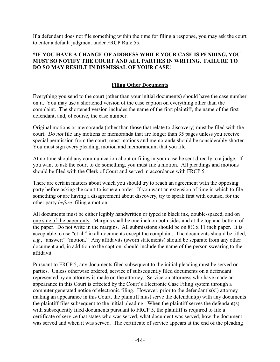If a defendant does not file something within the time for filing a response, you may ask the court to enter a default judgment under FRCP Rule 55.

# **\*IF YOU HAVE A CHANGE OF ADDRESS WHILE YOUR CASE IS PENDING, YOU MUST SO NOTIFY THE COURT AND ALL PARTIES IN WRITING. FAILURE TO DO SO MAY RESULT IN DISMISSAL OF YOUR CASE!**

# <span id="page-15-0"></span>**Filing Other Documents**

Everything you send to the court (other than your initial documents) should have the case number on it. You may use a shortened version of the case caption on everything other than the complaint. The shortened version includes the name of the first plaintiff, the name of the first defendant, and, of course, the case number.

Original motions or memoranda (other than those that relate to discovery) must be filed with the court. *Do not* file any motions or memoranda that are longer than 35 pages unless you receive special permission from the court; most motions and memoranda should be considerably shorter. You must sign every pleading, motion and memorandum that you file.

At no time should any communication about or filing in your case be sent directly to a judge. If you want to ask the court to do something, you must file a motion. All pleadings and motions should be filed with the Clerk of Court and served in accordance with FRCP 5.

There are certain matters about which you should try to reach an agreement with the opposing party before asking the court to issue an order. If you want an extension of time in which to file something or are having a disagreement about discovery, try to speak first with counsel for the other party *before* filing a motion.

All documents must be either legibly handwritten or typed in black ink, double-spaced, and on one side of the paper only. Margins shall be one inch on both sides and at the top and bottom of the paper. Do not write in the margins. All submissions should be on  $8\frac{1}{2}$  x 11 inch paper. It is acceptable to use "et al." in all documents except the complaint. The documents should be titled, *e.g.*, "answer;" "motion." Any affidavits (sworn statements) should be separate from any other document and, in addition to the caption, should include the name of the person swearing to the affidavit.

Pursuant to FRCP 5, any documents filed subsequent to the initial pleading must be served on parties. Unless otherwise ordered, service of subsequently filed documents on a defendant represented by an attorney is made on the attorney. Service on attorneys who have made an appearance in this Court is effected by the Court's Electronic Case Filing system through a computer generated notice of electronic filing. However, prior to the defendant's(s') attorney making an appearance in this Court, the plaintiff must serve the defendant(s) with any documents the plaintiff files subsequent to the initial pleading. When the plaintiff serves the defendant(s) with subsequently filed documents pursuant to FRCP 5, the plaintiff is required to file a certificate of service that states who was served, what document was served, how the document was served and when it was served. The certificate of service appears at the end of the pleading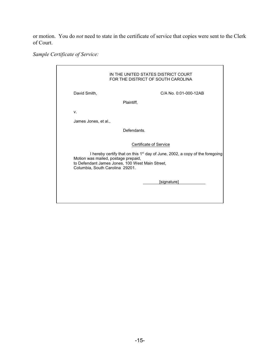or motion. You do *not* need to state in the certificate of service that copies were sent to the Clerk of Court.

*Sample Certificate of Service:*

|                                                                        | IN THE UNITED STATES DISTRICT COURT<br>FOR THE DISTRICT OF SOUTH CAROLINA                                                                                                  |
|------------------------------------------------------------------------|----------------------------------------------------------------------------------------------------------------------------------------------------------------------------|
| David Smith,                                                           | C/A No. 0:01-000-12AB                                                                                                                                                      |
|                                                                        | Plaintiff,                                                                                                                                                                 |
| V.                                                                     |                                                                                                                                                                            |
| James Jones, et al.,                                                   |                                                                                                                                                                            |
|                                                                        | Defendants.                                                                                                                                                                |
| Motion was mailed, postage prepaid,<br>Columbia, South Carolina 29201. | Certificate of Service<br>I hereby certify that on this $1st$ day of June, 2002, a copy of the foregoing<br>to Defendant James Jones, 100 West Main Street,<br>[signature] |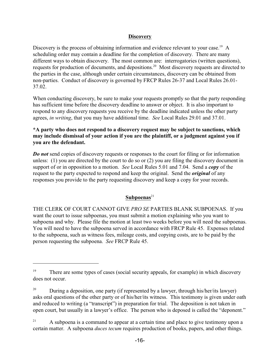#### <span id="page-17-0"></span>**Discovery**

Discovery is the process of obtaining information and evidence relevant to your case.<sup>19</sup> A scheduling order may contain a deadline for the completion of discovery. There are many different ways to obtain discovery. The most common are: interrogatories (written questions), requests for production of documents, and depositions.<sup>20</sup> Most discovery requests are directed to the parties in the case, although under certain circumstances, discovery can be obtained from non-parties. Conduct of discovery is governed by FRCP Rules 26-37 and Local Rules 26.01- 37.02.

When conducting discovery, be sure to make your requests promptly so that the party responding has sufficient time before the discovery deadline to answer or object. It is also important to respond to any discovery requests you receive by the deadline indicated unless the other party agrees, *in writing*, that you may have additional time. *See* Local Rules 29.01 and 37.01.

## **\*A party who does not respond to a discovery request may be subject to sanctions, which may include dismissal of your action if you are the plaintiff, or a judgment against you if you are the defendant.**

*Do not* send copies of discovery requests or responses to the court for filing or for information unless: (1) you are directed by the court to do so or (2) you are filing the discovery document in support of or in opposition to a motion. *See* Local Rules 5.01 and 7.04. Send a *copy* of the request to the party expected to respond and keep the original. Send the *original* of any responses you provide to the party requesting discovery and keep a copy for your records.

## Subpoenas<sup>21</sup>

THE CLERK OF COURT CANNOT GIVE *PRO SE* PARTIES BLANK SUBPOENAS. If you want the court to issue subpoenas, you must submit a motion explaining who you want to subpoena and why. Please file the motion at least two weeks before you will need the subpoenas. You will need to have the subpoena served in accordance with FRCP Rule 45. Expenses related to the subpoena, such as witness fees, mileage costs, and copying costs, are to be paid by the person requesting the subpoena. *See* FRCP Rule 45.

<sup>&</sup>lt;sup>19</sup> There are some types of cases (social security appeals, for example) in which discovery does not occur.

 $^{20}$  During a deposition, one party (if represented by a lawyer, through his/her/its lawyer) asks oral questions of the other party or of his/her/its witness. This testimony is given under oath and reduced to writing (a "transcript") in preparation for trial. The deposition is not taken in open court, but usually in a lawyer's office. The person who is deposed is called the "deponent."

 $A$  subpoena is a command to appear at a certain time and place to give testimony upon a certain matter. A subpoena *duces tecum* requires production of books, papers, and other things.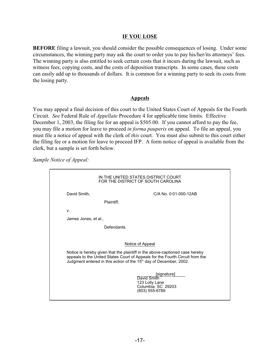#### <span id="page-18-0"></span>**IF YOU LOSE**

**BEFORE** filing a lawsuit, you should consider the possible consequences of losing. Under some circumstances, the winning party may ask the court to order you to pay his/her/its attorneys' fees. The winning party is also entitled to seek certain costs that it incurs during the lawsuit, such as witness fees, copying costs, and the costs of deposition transcripts. In some cases, these costs can easily add up to thousands of dollars. It is common for a winning party to seek its costs from the losing party.

#### <span id="page-18-1"></span>**Appeals**

You may appeal a final decision of this court to the United States Court of Appeals for the Fourth Circuit. *See* Federal Rule of *Appellate* Procedure 4 for applicable time limits. Effective December 1, 2003, the filing fee for an appeal is \$505.00. If you cannot afford to pay the fee, you may file a motion for leave to proceed *in forma pauperis* on appeal. To file an appeal, you must file a notice of appeal with the clerk of *this* court. You must also submit to this court either the filing fee or a motion for leave to proceed IFP. A form notice of appeal is available from the clerk, but a sample is set forth below.

*Sample Notice of Appeal:*

|                                                                                                                                                                                                                                                 | IN THE UNITED STATES DISTRICT COURT<br>FOR THE DISTRICT OF SOUTH CAROLINA            |  |  |
|-------------------------------------------------------------------------------------------------------------------------------------------------------------------------------------------------------------------------------------------------|--------------------------------------------------------------------------------------|--|--|
| David Smith,                                                                                                                                                                                                                                    | C/A No. 0:01-000-12AB                                                                |  |  |
|                                                                                                                                                                                                                                                 | Plaintiff,                                                                           |  |  |
| V.                                                                                                                                                                                                                                              |                                                                                      |  |  |
| James Jones, et al.,                                                                                                                                                                                                                            |                                                                                      |  |  |
|                                                                                                                                                                                                                                                 | Defendants.                                                                          |  |  |
|                                                                                                                                                                                                                                                 |                                                                                      |  |  |
| Notice of Appeal                                                                                                                                                                                                                                |                                                                                      |  |  |
| Notice is hereby given that the plaintiff in the above-captioned case hereby<br>appeals to the United States Court of Appeals for the Fourth Circuit from the<br>Judgment entered in this action of the 15 <sup>th</sup> day of December, 2002. |                                                                                      |  |  |
|                                                                                                                                                                                                                                                 | [signature]<br>David Smith<br>123 Lolly Lane<br>Columbia, SC 29203<br>(803) 555-6789 |  |  |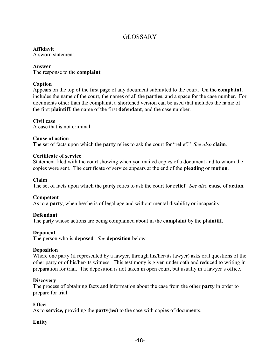# GLOSSARY

## **Affidavit**

A sworn statement.

#### **Answer**

The response to the **complaint**.

## **Caption**

Appears on the top of the first page of any document submitted to the court. On the **complaint**, includes the name of the court, the names of all the **parties**, and a space for the case number. For documents other than the complaint, a shortened version can be used that includes the name of the first **plaintiff**, the name of the first **defendant**, and the case number.

## **Civil case**

A case that is not criminal.

## **Cause of action**

The set of facts upon which the **party** relies to ask the court for "relief." *See also* **claim**.

#### **Certificate of service**

Statement filed with the court showing when you mailed copies of a document and to whom the copies were sent. The certificate of service appears at the end of the **pleading** or **motion**.

#### **Claim**

The set of facts upon which the **party** relies to ask the court for **relief**. *See also* **cause of action.**

## **Competent**

As to a **party**, when he/she is of legal age and without mental disability or incapacity.

## **Defendant**

The party whose actions are being complained about in the **complaint** by the **plaintiff**.

## **Deponent**

The person who is **deposed**. *See* **deposition** below.

#### **Deposition**

Where one party (if represented by a lawyer, through his/her/its lawyer) asks oral questions of the other party or of his/her/its witness. This testimony is given under oath and reduced to writing in preparation for trial. The deposition is not taken in open court, but usually in a lawyer's office.

#### **Discovery**

The process of obtaining facts and information about the case from the other **party** in order to prepare for trial.

#### **Effect**

As to **service***,* providing the **party(ies)** to the case with copies of documents.

## **Entity**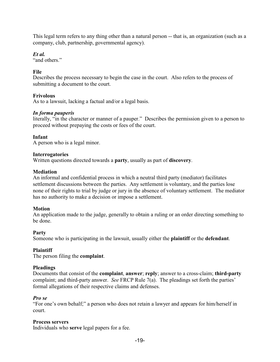This legal term refers to any thing other than a natural person -- that is, an organization (such as a company, club, partnership, governmental agency).

*Et al.*

"and others"

# **File**

Describes the process necessary to begin the case in the court. Also refers to the process of submitting a document to the court.

# **Frivolous**

As to a lawsuit, lacking a factual and/or a legal basis.

# *In forma pauperis*

literally, "in the character or manner of a pauper." Describes the permission given to a person to proceed without prepaying the costs or fees of the court.

# **Infant**

A person who is a legal minor.

# **Interrogatories**

Written questions directed towards a **party**, usually as part of **discovery**.

# **Mediation**

An informal and confidential process in which a neutral third party (mediator) facilitates settlement discussions between the parties. Any settlement is voluntary, and the parties lose none of their rights to trial by judge or jury in the absence of voluntary settlement. The mediator has no authority to make a decision or impose a settlement.

# **Motion**

An application made to the judge, generally to obtain a ruling or an order directing something to be done.

# **Party**

Someone who is participating in the lawsuit, usually either the **plaintiff** or the **defendant**.

# **Plaintiff**

The person filing the **complaint**.

## **Pleadings**

Documents that consist of the **complaint**, **answer**; **reply**; answer to a cross-claim; **third-party** complaint; and third-party answer. *See* FRCP Rule 7(a). The pleadings set forth the parties' formal allegations of their respective claims and defenses.

## *Pro se*

"For one's own behalf;" a person who does not retain a lawyer and appears for him/herself in court.

## **Process servers**

Individuals who **serve** legal papers for a fee.